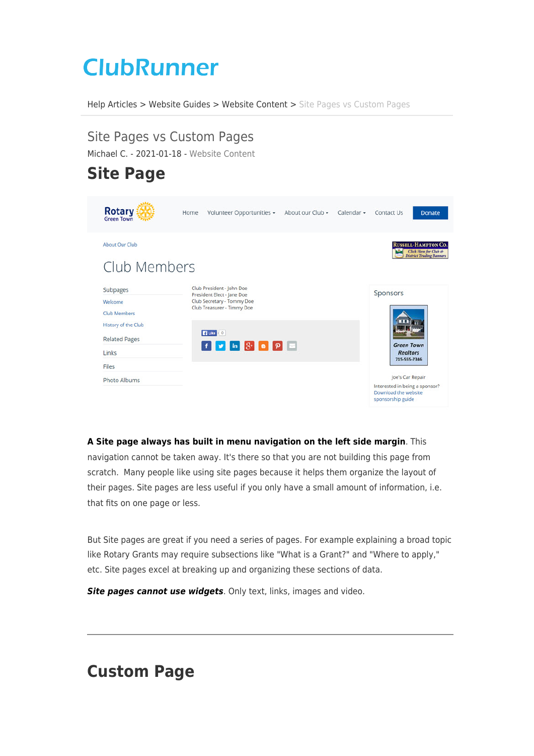## **ClubRunner**

[Help Articles](https://www.clubrunnersupport.com/kb) > [Website Guides](https://www.clubrunnersupport.com/kb/website-guides) > [Website Content](https://www.clubrunnersupport.com/kb/website-content) > [Site Pages vs Custom Pages](https://www.clubrunnersupport.com/kb/articles/site-pages-vs-custom-pages)

## Site Pages vs Custom Pages

Michael C. - 2021-01-18 - [Website Content](https://www.clubrunnersupport.com/kb/website-content)

## **Site Page**

| <b>Rotary</b><br><b>Green Town</b>                   | Volunteer Opportunities -<br>Home                                                                                   | About our Club - | Calendar - | Contact Us<br><b>Donate</b>                                                                    |  |
|------------------------------------------------------|---------------------------------------------------------------------------------------------------------------------|------------------|------------|------------------------------------------------------------------------------------------------|--|
| About Our Club<br>Club Members                       |                                                                                                                     |                  |            | <b>RUSSELL-HAMPTON CO.</b><br>Click Here for Club &<br><b>District Trading Banners</b>         |  |
| Subpages<br>Welcome<br><b>Club Members</b>           | Club President - John Doe<br>President Elect - Jane Doe<br>Club Secretary - Tommy Doe<br>Club Treasurer - Timmy Doe |                  |            |                                                                                                |  |
| History of the Club<br><b>Related Pages</b><br>Links | 4 Like <0<br>$\mathbf{F}$ $\mathbf{v}$ in $\mathbf{S}$ a $\mathbf{p}$ $\mathbf{z}$                                  |                  |            | <b>Green Town</b><br><b>Realtors</b><br>715-555-7346                                           |  |
| Files<br>Photo Albums                                |                                                                                                                     |                  |            | Joe's Car Repair<br>Interested in being a sponsor?<br>Download the website<br>enoncorchin muda |  |

**A Site page always has built in menu navigation on the left side margin**. This navigation cannot be taken away. It's there so that you are not building this page from scratch. Many people like using site pages because it helps them organize the layout of their pages. Site pages are less useful if you only have a small amount of information, i.e. that fits on one page or less.

But Site pages are great if you need a series of pages. For example explaining a broad topic like Rotary Grants may require subsections like "What is a Grant?" and "Where to apply," etc. Site pages excel at breaking up and organizing these sections of data.

**Site pages cannot use widgets**. Only text, links, images and video.

## **Custom Page**